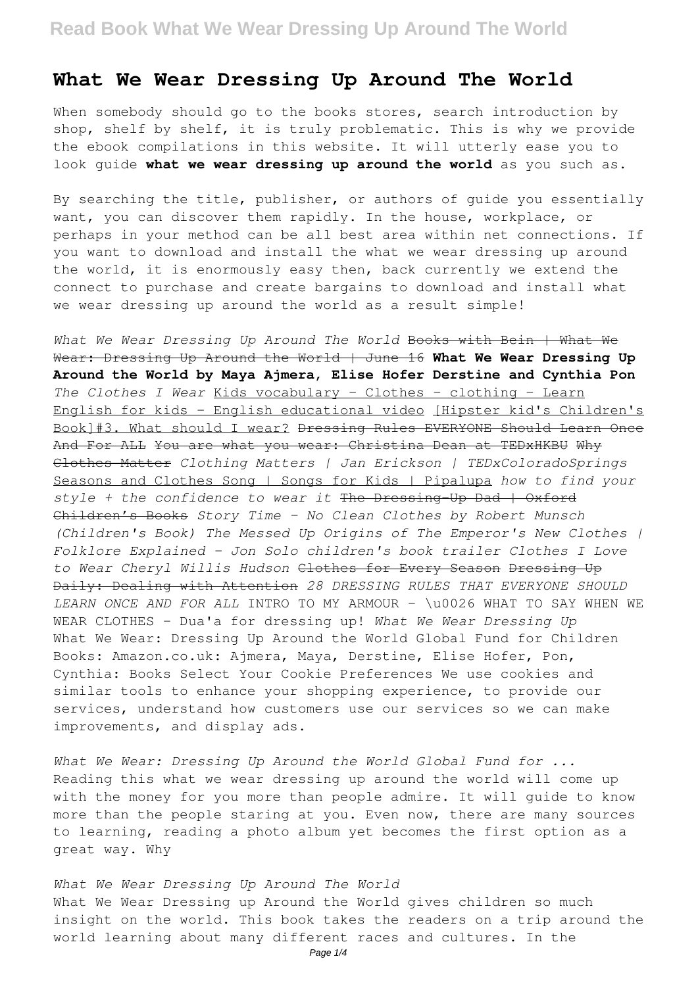### **What We Wear Dressing Up Around The World**

When somebody should go to the books stores, search introduction by shop, shelf by shelf, it is truly problematic. This is why we provide the ebook compilations in this website. It will utterly ease you to look guide **what we wear dressing up around the world** as you such as.

By searching the title, publisher, or authors of guide you essentially want, you can discover them rapidly. In the house, workplace, or perhaps in your method can be all best area within net connections. If you want to download and install the what we wear dressing up around the world, it is enormously easy then, back currently we extend the connect to purchase and create bargains to download and install what we wear dressing up around the world as a result simple!

*What We Wear Dressing Up Around The World* Books with Bein | What We Wear: Dressing Up Around the World | June 16 **What We Wear Dressing Up Around the World by Maya Ajmera, Elise Hofer Derstine and Cynthia Pon** *The Clothes I Wear* Kids vocabulary - Clothes - clothing - Learn English for kids - English educational video [Hipster kid's Children's Book]#3. What should I wear? Dressing Rules EVERYONE Should Learn Once And For ALL You are what you wear: Christina Dean at TEDxHKBU Why Clothes Matter *Clothing Matters | Jan Erickson | TEDxColoradoSprings* Seasons and Clothes Song | Songs for Kids | Pipalupa *how to find your style + the confidence to wear it* The Dressing-Up Dad | Oxford Children's Books *Story Time - No Clean Clothes by Robert Munsch (Children's Book) The Messed Up Origins of The Emperor's New Clothes | Folklore Explained - Jon Solo children's book trailer Clothes I Love to Wear Cheryl Willis Hudson* Clothes for Every Season Dressing Up Daily: Dealing with Attention *28 DRESSING RULES THAT EVERYONE SHOULD LEARN ONCE AND FOR ALL* INTRO TO MY ARMOUR - \u0026 WHAT TO SAY WHEN WE WEAR CLOTHES - Dua'a for dressing up! *What We Wear Dressing Up* What We Wear: Dressing Up Around the World Global Fund for Children Books: Amazon.co.uk: Ajmera, Maya, Derstine, Elise Hofer, Pon, Cynthia: Books Select Your Cookie Preferences We use cookies and similar tools to enhance your shopping experience, to provide our services, understand how customers use our services so we can make improvements, and display ads.

*What We Wear: Dressing Up Around the World Global Fund for ...* Reading this what we wear dressing up around the world will come up with the money for you more than people admire. It will guide to know more than the people staring at you. Even now, there are many sources to learning, reading a photo album yet becomes the first option as a great way. Why

*What We Wear Dressing Up Around The World* What We Wear Dressing up Around the World gives children so much insight on the world. This book takes the readers on a trip around the world learning about many different races and cultures. In the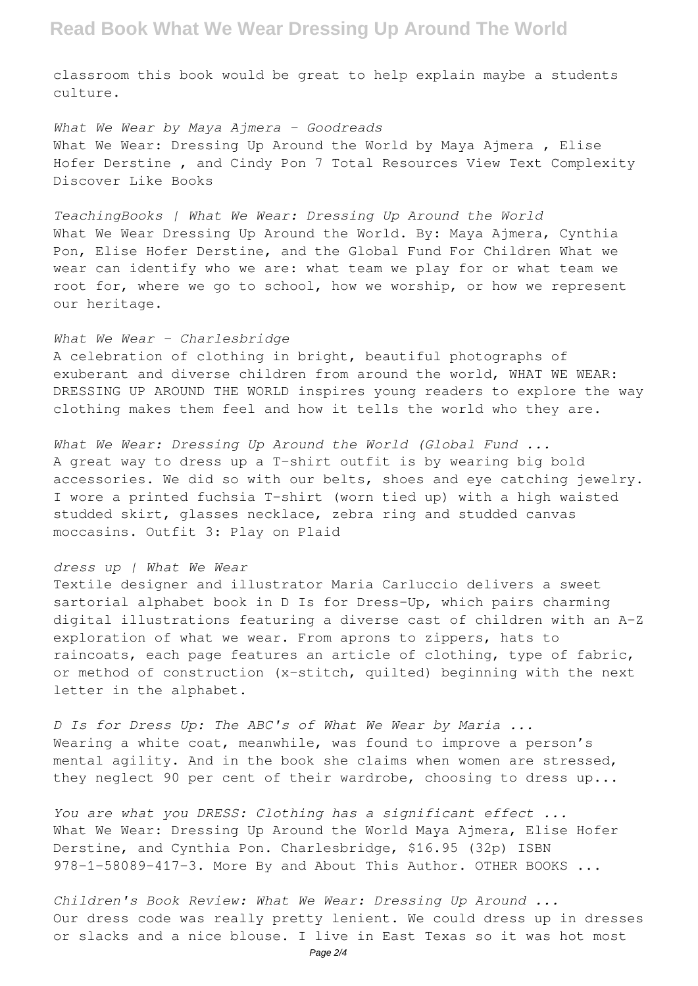## **Read Book What We Wear Dressing Up Around The World**

classroom this book would be great to help explain maybe a students culture.

*What We Wear by Maya Ajmera - Goodreads* What We Wear: Dressing Up Around the World by Maya Ajmera, Elise Hofer Derstine , and Cindy Pon 7 Total Resources View Text Complexity Discover Like Books

*TeachingBooks | What We Wear: Dressing Up Around the World* What We Wear Dressing Up Around the World. By: Maya Ajmera, Cynthia Pon, Elise Hofer Derstine, and the Global Fund For Children What we wear can identify who we are: what team we play for or what team we root for, where we go to school, how we worship, or how we represent our heritage.

#### *What We Wear – Charlesbridge*

A celebration of clothing in bright, beautiful photographs of exuberant and diverse children from around the world, WHAT WE WEAR: DRESSING UP AROUND THE WORLD inspires young readers to explore the way clothing makes them feel and how it tells the world who they are.

*What We Wear: Dressing Up Around the World (Global Fund ...* A great way to dress up a T-shirt outfit is by wearing big bold accessories. We did so with our belts, shoes and eye catching jewelry. I wore a printed fuchsia T-shirt (worn tied up) with a high waisted studded skirt, glasses necklace, zebra ring and studded canvas moccasins. Outfit 3: Play on Plaid

#### *dress up | What We Wear*

Textile designer and illustrator Maria Carluccio delivers a sweet sartorial alphabet book in D Is for Dress-Up, which pairs charming digital illustrations featuring a diverse cast of children with an A-Z exploration of what we wear. From aprons to zippers, hats to raincoats, each page features an article of clothing, type of fabric, or method of construction (x-stitch, quilted) beginning with the next letter in the alphabet.

*D Is for Dress Up: The ABC's of What We Wear by Maria ...* Wearing a white coat, meanwhile, was found to improve a person's mental agility. And in the book she claims when women are stressed, they neglect 90 per cent of their wardrobe, choosing to dress up...

*You are what you DRESS: Clothing has a significant effect ...* What We Wear: Dressing Up Around the World Maya Ajmera, Elise Hofer Derstine, and Cynthia Pon. Charlesbridge, \$16.95 (32p) ISBN 978-1-58089-417-3. More By and About This Author. OTHER BOOKS ...

*Children's Book Review: What We Wear: Dressing Up Around ...* Our dress code was really pretty lenient. We could dress up in dresses or slacks and a nice blouse. I live in East Texas so it was hot most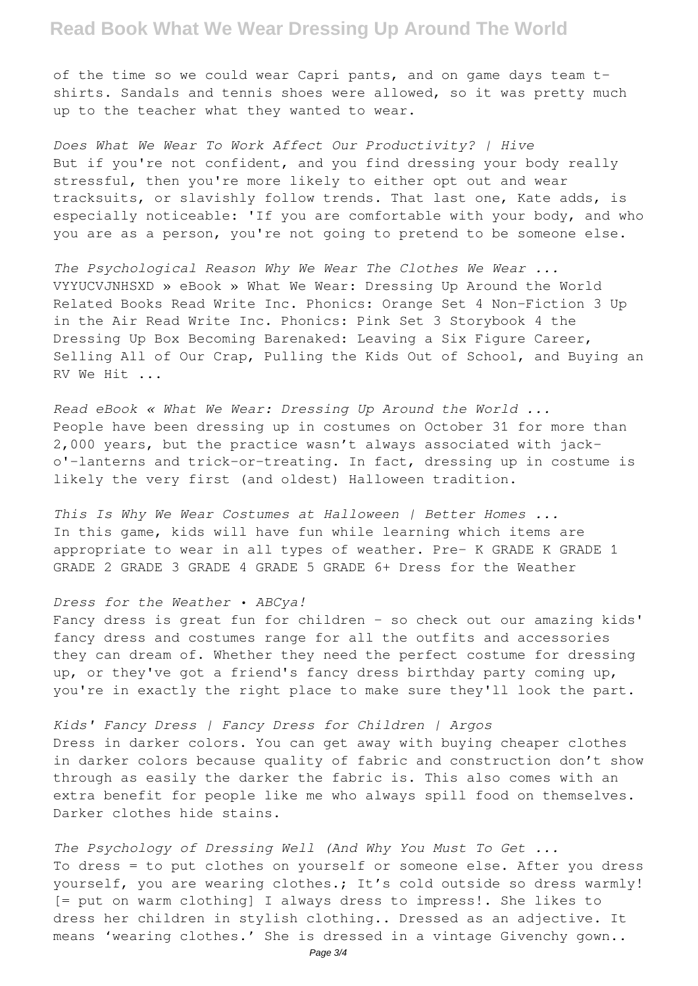## **Read Book What We Wear Dressing Up Around The World**

of the time so we could wear Capri pants, and on game days team tshirts. Sandals and tennis shoes were allowed, so it was pretty much up to the teacher what they wanted to wear.

*Does What We Wear To Work Affect Our Productivity? | Hive* But if you're not confident, and you find dressing your body really stressful, then you're more likely to either opt out and wear tracksuits, or slavishly follow trends. That last one, Kate adds, is especially noticeable: 'If you are comfortable with your body, and who you are as a person, you're not going to pretend to be someone else.

*The Psychological Reason Why We Wear The Clothes We Wear ...* VYYUCVJNHSXD » eBook » What We Wear: Dressing Up Around the World Related Books Read Write Inc. Phonics: Orange Set 4 Non-Fiction 3 Up in the Air Read Write Inc. Phonics: Pink Set 3 Storybook 4 the Dressing Up Box Becoming Barenaked: Leaving a Six Figure Career, Selling All of Our Crap, Pulling the Kids Out of School, and Buying an RV We Hit ...

*Read eBook « What We Wear: Dressing Up Around the World ...* People have been dressing up in costumes on October 31 for more than 2,000 years, but the practice wasn't always associated with jacko'-lanterns and trick-or-treating. In fact, dressing up in costume is likely the very first (and oldest) Halloween tradition.

*This Is Why We Wear Costumes at Halloween | Better Homes ...* In this game, kids will have fun while learning which items are appropriate to wear in all types of weather. Pre- K GRADE K GRADE 1 GRADE 2 GRADE 3 GRADE 4 GRADE 5 GRADE 6+ Dress for the Weather

#### *Dress for the Weather • ABCya!*

Fancy dress is great fun for children - so check out our amazing kids' fancy dress and costumes range for all the outfits and accessories they can dream of. Whether they need the perfect costume for dressing up, or they've got a friend's fancy dress birthday party coming up, you're in exactly the right place to make sure they'll look the part.

*Kids' Fancy Dress | Fancy Dress for Children | Argos* Dress in darker colors. You can get away with buying cheaper clothes in darker colors because quality of fabric and construction don't show through as easily the darker the fabric is. This also comes with an extra benefit for people like me who always spill food on themselves. Darker clothes hide stains.

*The Psychology of Dressing Well (And Why You Must To Get ...* To dress = to put clothes on yourself or someone else. After you dress yourself, you are wearing clothes.; It's cold outside so dress warmly! [= put on warm clothing] I always dress to impress!. She likes to dress her children in stylish clothing.. Dressed as an adjective. It means 'wearing clothes.' She is dressed in a vintage Givenchy gown..